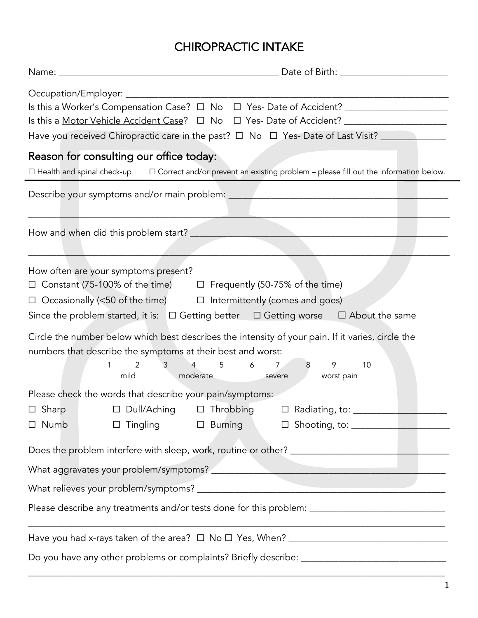# CHIROPRACTIC INTAKE

|                                                                                                                                                                                            | Have you received Chiropractic care in the past? $\Box$ No $\Box$ Yes-Date of Last Visit?                                                                                                                                            |
|--------------------------------------------------------------------------------------------------------------------------------------------------------------------------------------------|--------------------------------------------------------------------------------------------------------------------------------------------------------------------------------------------------------------------------------------|
| Reason for consulting our office today:                                                                                                                                                    | $\Box$ Health and spinal check-up $\Box$ Correct and/or prevent an existing problem – please fill out the information below.                                                                                                         |
|                                                                                                                                                                                            |                                                                                                                                                                                                                                      |
|                                                                                                                                                                                            | <u> Andreas Andreas Andreas Andreas Andreas Andreas Andreas Andreas Andreas Andreas Andreas Andreas Andreas Andreas Andreas Andreas Andreas Andreas Andreas Andreas Andreas Andreas Andreas Andreas Andreas Andreas Andreas Andr</u> |
| How often are your symptoms present?<br>□ Constant (75-100% of the time) □ Frequently (50-75% of the time)<br>$\Box$ Occasionally (<50 of the time) $\Box$ Intermittently (comes and goes) | Since the problem started, it is: $\Box$ Getting better $\Box$ Getting worse $\Box$ About the same                                                                                                                                   |
| numbers that describe the symptoms at their best and worst:<br>$2 \left( \frac{1}{2} \right)$<br>$3 \quad \blacksquare$<br>$\overline{4}$<br>1<br>mild                                     | Circle the number below which best describes the intensity of your pain. If it varies, circle the<br>7/2<br>$5^{\circ}$<br>$6\overline{6}$<br>8 9<br>10<br>moderate<br>worst pain<br>severe                                          |
| Please check the words that describe your pain/symptoms:<br>□ Dull/Aching<br>$\Box$ Sharp<br>$\Box$ Tingling<br>$\Box$ Numb                                                                | $\Box$ Throbbing<br>Radiating, to:<br>$\Box$<br>$\Box$ Burning<br>$\Box$ Shooting, to: $\Box$                                                                                                                                        |
|                                                                                                                                                                                            |                                                                                                                                                                                                                                      |
|                                                                                                                                                                                            |                                                                                                                                                                                                                                      |
|                                                                                                                                                                                            |                                                                                                                                                                                                                                      |
|                                                                                                                                                                                            | Please describe any treatments and/or tests done for this problem: _________________________________                                                                                                                                 |
|                                                                                                                                                                                            |                                                                                                                                                                                                                                      |
|                                                                                                                                                                                            | Do you have any other problems or complaints? Briefly describe: ___________________________________                                                                                                                                  |

\_\_\_\_\_\_\_\_\_\_\_\_\_\_\_\_\_\_\_\_\_\_\_\_\_\_\_\_\_\_\_\_\_\_\_\_\_\_\_\_\_\_\_\_\_\_\_\_\_\_\_\_\_\_\_\_\_\_\_\_\_\_\_\_\_\_\_\_\_\_\_\_\_\_\_\_\_\_\_\_\_\_\_\_\_\_\_\_\_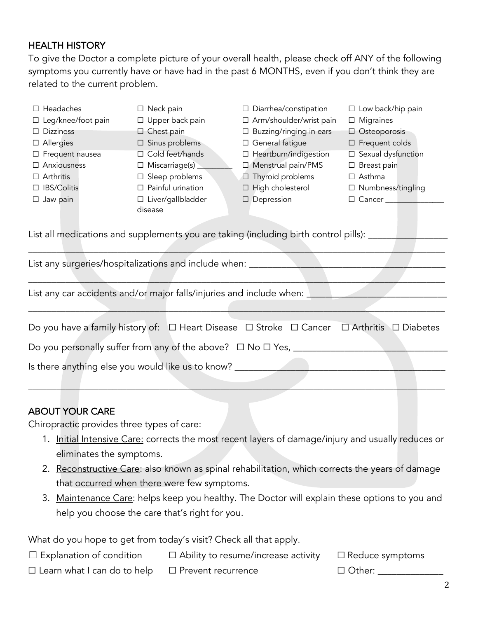## HEALTH HISTORY

To give the Doctor a complete picture of your overall health, please check off ANY of the following symptoms you currently have or have had in the past 6 MONTHS, even if you don't think they are related to the current problem.

| $\Box$ Headaches                           | $\Box$ Neck pain                                                           | $\Box$ Diarrhea/constipation                                                                       | $\Box$ Low back/hip pain |
|--------------------------------------------|----------------------------------------------------------------------------|----------------------------------------------------------------------------------------------------|--------------------------|
| $\Box$ Leg/knee/foot pain                  | $\Box$ Upper back pain                                                     | □ Arm/shoulder/wrist pain                                                                          | $\Box$ Migraines         |
| $\Box$ Dizziness                           | $\Box$ Chest pain                                                          | $\Box$ Buzzing/ringing in ears                                                                     | $\Box$ Osteoporosis      |
| $\Box$ Allergies                           | $\square$ Sinus problems                                                   | □ General fatigue                                                                                  | $\square$ Frequent colds |
| $\Box$ Frequent nausea                     | $\Box$ Cold feet/hands                                                     | □ Heartburn/indigestion                                                                            | □ Sexual dysfunction     |
| □ Anxiousness                              | $\Box$ Miscarriage(s) $\_\_\_\_\_\_\_\_\$                                  | □ Menstrual pain/PMS                                                                               | $\Box$ Breast pain       |
| $\Box$ Arthritis                           | $\square$ Sleep problems                                                   | □ Thyroid problems                                                                                 | $\Box$ Asthma            |
| □ IBS/Colitis                              | $\Box$ Painful urination                                                   | $\Box$ High cholesterol                                                                            | □ Numbness/tingling      |
| $\Box$ Jaw pain                            | $\Box$ Liver/gallbladder                                                   | $\Box$ Depression                                                                                  | $\Box$ Cancer            |
|                                            | disease                                                                    |                                                                                                    |                          |
|                                            |                                                                            | List all medications and supplements you are taking (including birth control pills): _____         |                          |
|                                            |                                                                            |                                                                                                    |                          |
|                                            | List any surgeries/hospitalizations and include when: _________            |                                                                                                    |                          |
|                                            |                                                                            |                                                                                                    |                          |
|                                            | List any car accidents and/or major falls/injuries and include when: _____ |                                                                                                    |                          |
|                                            |                                                                            |                                                                                                    |                          |
|                                            |                                                                            |                                                                                                    |                          |
|                                            |                                                                            | Do you have a family history of: □ Heart Disease □ Stroke □ Cancer □ Arthritis □ Diabetes          |                          |
|                                            |                                                                            |                                                                                                    |                          |
|                                            | Is there anything else you would like us to know? ___________              |                                                                                                    |                          |
|                                            |                                                                            |                                                                                                    |                          |
|                                            |                                                                            |                                                                                                    |                          |
| <b>ABOUT YOUR CARE</b>                     |                                                                            |                                                                                                    |                          |
| Chiropractic provides three types of care: |                                                                            |                                                                                                    |                          |
|                                            |                                                                            | 1. Initial Intensive Care: corrects the most recent layers of damage/injury and usually reduces or |                          |
| eliminates the symptoms.                   |                                                                            |                                                                                                    |                          |
| 2.                                         |                                                                            | Reconstructive Care: also known as spinal rehabilitation, which corrects the years of damage       |                          |
|                                            | that occurred when there were few symptoms.                                |                                                                                                    |                          |
| 3.                                         |                                                                            | Maintenance Care: helps keep you healthy. The Doctor will explain these options to you and         |                          |
|                                            | help you choose the care that's right for you.                             |                                                                                                    |                          |
|                                            |                                                                            |                                                                                                    |                          |
|                                            | What do you hope to get from today's visit? Check all that apply.          |                                                                                                    |                          |
| $\Box$ Explanation of condition            |                                                                            | $\Box$ Ability to resume/increase activity                                                         | $\Box$ Reduce symptoms   |
|                                            |                                                                            |                                                                                                    |                          |

□ Learn what I can do to help □ Prevent recurrence □ □ Other: \_\_\_\_\_\_\_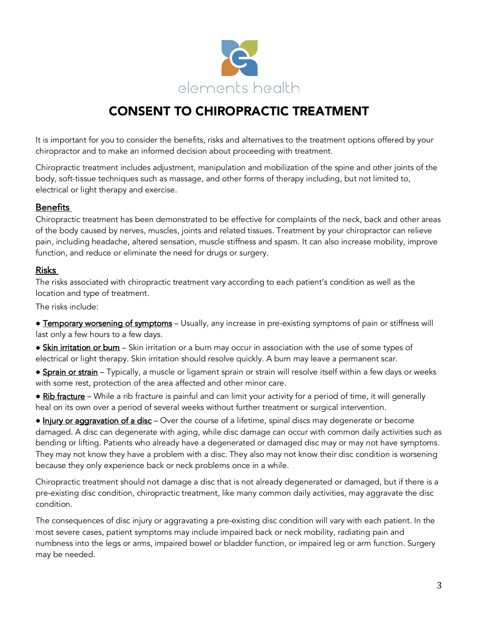

# CONSENT TO CHIROPRACTIC TREATMENT

It is important for you to consider the benefits, risks and alternatives to the treatment options offered by your chiropractor and to make an informed decision about proceeding with treatment.

Chiropractic treatment includes adjustment, manipulation and mobilization of the spine and other joints of the body, soft-tissue techniques such as massage, and other forms of therapy including, but not limited to, electrical or light therapy and exercise.

### Benefits

Chiropractic treatment has been demonstrated to be effective for complaints of the neck, back and other areas of the body caused by nerves, muscles, joints and related tissues. Treatment by your chiropractor can relieve pain, including headache, altered sensation, muscle stiffness and spasm. It can also increase mobility, improve function, and reduce or eliminate the need for drugs or surgery.

### Risks

The risks associated with chiropractic treatment vary according to each patient's condition as well as the location and type of treatment.

The risks include:

• Temporary worsening of symptoms – Usually, any increase in pre-existing symptoms of pain or stiffness will last only a few hours to a few days.

• Skin irritation or burn – Skin irritation or a burn may occur in association with the use of some types of electrical or light therapy. Skin irritation should resolve quickly. A burn may leave a permanent scar.

• Sprain or strain – Typically, a muscle or ligament sprain or strain will resolve itself within a few days or weeks with some rest, protection of the area affected and other minor care.

• Rib fracture – While a rib fracture is painful and can limit your activity for a period of time, it will generally heal on its own over a period of several weeks without further treatment or surgical intervention.

• Injury or aggravation of a disc - Over the course of a lifetime, spinal discs may degenerate or become damaged. A disc can degenerate with aging, while disc damage can occur with common daily activities such as bending or lifting. Patients who already have a degenerated or damaged disc may or may not have symptoms. They may not know they have a problem with a disc. They also may not know their disc condition is worsening because they only experience back or neck problems once in a while.

Chiropractic treatment should not damage a disc that is not already degenerated or damaged, but if there is a pre-existing disc condition, chiropractic treatment, like many common daily activities, may aggravate the disc condition.

The consequences of disc injury or aggravating a pre-existing disc condition will vary with each patient. In the most severe cases, patient symptoms may include impaired back or neck mobility, radiating pain and numbness into the legs or arms, impaired bowel or bladder function, or impaired leg or arm function. Surgery may be needed.